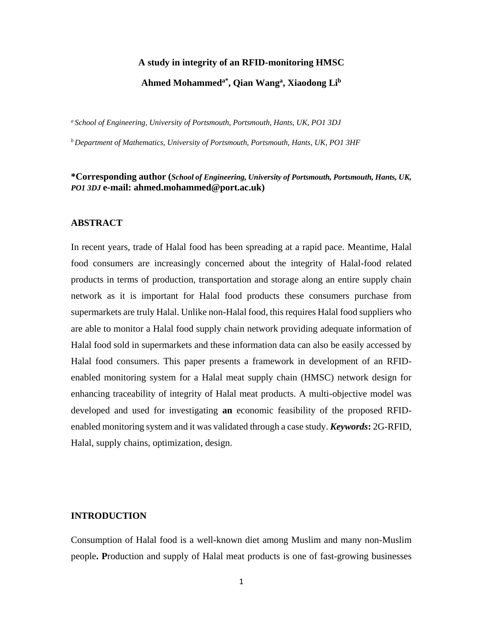#### **A study in integrity of an RFID-monitoring HMSC**

# **Ahmed Mohammeda\*, Qian Wang<sup>a</sup> , Xiaodong Li<sup>b</sup>**

*<sup>a</sup>School of Engineering, University of Portsmouth, Portsmouth, Hants, UK, PO1 3DJ*

*<sup>b</sup>Department of Mathematics, University of Portsmouth, Portsmouth, Hants, UK, PO1 3HF*

# **\*Corresponding author (***School of Engineering, University of Portsmouth, Portsmouth, Hants, UK, PO1 3DJ* **e-mail: ahmed.mohammed@port.ac.uk)**

#### **ABSTRACT**

In recent years, trade of Halal food has been spreading at a rapid pace. Meantime, Halal food consumers are increasingly concerned about the integrity of Halal-food related products in terms of production, transportation and storage along an entire supply chain network as it is important for Halal food products these consumers purchase from supermarkets are truly Halal. Unlike non-Halal food, this requires Halal food suppliers who are able to monitor a Halal food supply chain network providing adequate information of Halal food sold in supermarkets and these information data can also be easily accessed by Halal food consumers. This paper presents a framework in development of an RFIDenabled monitoring system for a Halal meat supply chain (HMSC) network design for enhancing traceability of integrity of Halal meat products. A multi-objective model was developed and used for investigating **an** economic feasibility of the proposed RFIDenabled monitoring system and it was validated through a case study. *Keywords***:** 2G-RFID, Halal, supply chains, optimization, design.

#### **INTRODUCTION**

Consumption of Halal food is a well-known diet among Muslim and many non-Muslim people**. P**roduction and supply of Halal meat products is one of fast-growing businesses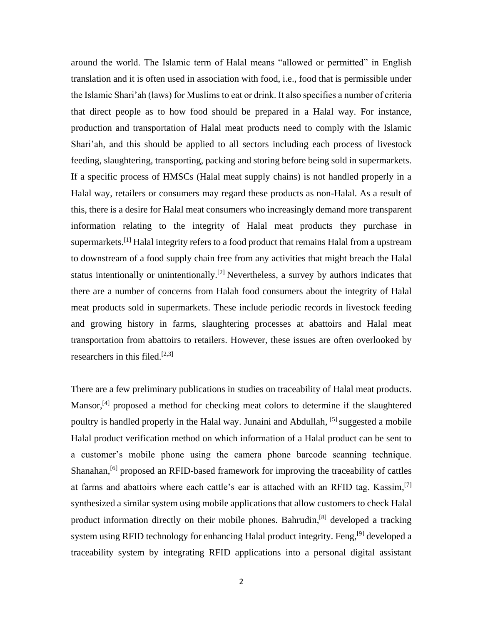around the world. The Islamic term of Halal means "allowed or permitted" in English translation and it is often used in association with food, i.e., food that is permissible under the Islamic Shari'ah (laws) for Muslims to eat or drink. It also specifies a number of criteria that direct people as to how food should be prepared in a Halal way. For instance, production and transportation of Halal meat products need to comply with the Islamic Shari'ah, and this should be applied to all sectors including each process of livestock feeding, slaughtering, transporting, packing and storing before being sold in supermarkets. If a specific process of HMSCs (Halal meat supply chains) is not handled properly in a Halal way, retailers or consumers may regard these products as non-Halal. As a result of this, there is a desire for Halal meat consumers who increasingly demand more transparent information relating to the integrity of Halal meat products they purchase in supermarkets.<sup>[1]</sup> Halal integrity refers to a food product that remains Halal from a upstream to downstream of a food supply chain free from any activities that might breach the Halal status intentionally or unintentionally.<sup>[2]</sup> Nevertheless, a survey by authors indicates that there are a number of concerns from Halah food consumers about the integrity of Halal meat products sold in supermarkets. These include periodic records in livestock feeding and growing history in farms, slaughtering processes at abattoirs and Halal meat transportation from abattoirs to retailers. However, these issues are often overlooked by researchers in this filed.<sup>[2,3]</sup>

There are a few preliminary publications in studies on traceability of Halal meat products. Mansor,<sup>[4]</sup> proposed a method for checking meat colors to determine if the slaughtered poultry is handled properly in the Halal way. Junaini and Abdullah, <sup>[5]</sup> suggested a mobile Halal product verification method on which information of a Halal product can be sent to a customer's mobile phone using the camera phone barcode scanning technique. Shanahan,<sup>[6]</sup> proposed an RFID-based framework for improving the traceability of cattles at farms and abattoirs where each cattle's ear is attached with an RFID tag. Kassim, [7] synthesized a similar system using mobile applications that allow customers to check Halal product information directly on their mobile phones. Bahrudin,<sup>[8]</sup> developed a tracking system using RFID technology for enhancing Halal product integrity. Feng,<sup>[9]</sup> developed a traceability system by integrating RFID applications into a personal digital assistant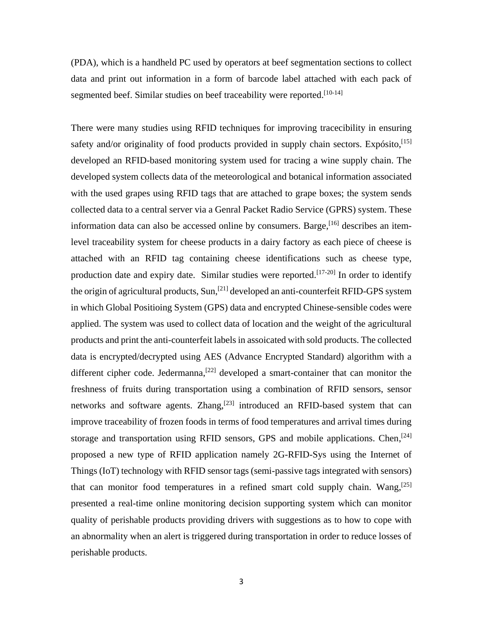(PDA), which is a handheld PC used by operators at beef segmentation sections to collect data and print out information in a form of barcode label attached with each pack of segmented beef. Similar studies on beef traceability were reported.<sup>[10-14]</sup>

There were many studies using RFID techniques for improving tracecibility in ensuring safety and/or originality of food products provided in supply chain sectors. Expósito, [15] developed an RFID-based monitoring system used for tracing a wine supply chain. The developed system collects data of the meteorological and botanical information associated with the used grapes using RFID tags that are attached to grape boxes; the system sends collected data to a central server via a Genral Packet Radio Service (GPRS) system. These information data can also be accessed online by consumers. Barge,<sup>[16]</sup> describes an itemlevel traceability system for cheese products in a dairy factory as each piece of cheese is attached with an RFID tag containing cheese identifications such as cheese type, production date and expiry date. Similar studies were reported.<sup>[17-20]</sup> In order to identify the origin of agricultural products, Sun,<sup>[21]</sup> developed an anti-counterfeit RFID-GPS system in which Global Positioing System (GPS) data and encrypted Chinese-sensible codes were applied. The system was used to collect data of location and the weight of the agricultural products and print the anti-counterfeit labels in assoicated with sold products. The collected data is encrypted/decrypted using AES (Advance Encrypted Standard) algorithm with a different cipher code. Jedermanna,<sup>[22]</sup> developed a smart-container that can monitor the freshness of fruits during transportation using a combination of RFID sensors, sensor networks and software agents. Zhang,<sup>[23]</sup> introduced an RFID-based system that can improve traceability of frozen foods in terms of food temperatures and arrival times during storage and transportation using RFID sensors, GPS and mobile applications. Chen,<sup>[24]</sup> proposed a new type of RFID application namely 2G-RFID-Sys using the Internet of Things (IoT) technology with RFID sensor tags (semi-passive tags integrated with sensors) that can monitor food temperatures in a refined smart cold supply chain. Wang,<sup>[25]</sup> presented a real-time online monitoring decision supporting system which can monitor quality of perishable products providing drivers with suggestions as to how to cope with an abnormality when an alert is triggered during transportation in order to reduce losses of perishable products.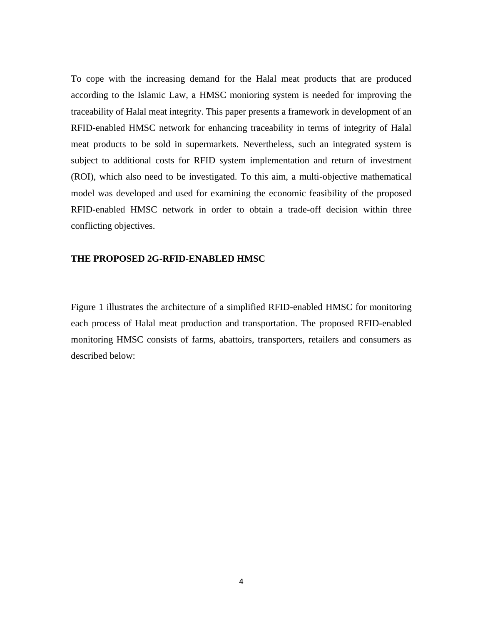To cope with the increasing demand for the Halal meat products that are produced according to the Islamic Law, a HMSC monioring system is needed for improving the traceability of Halal meat integrity. This paper presents a framework in development of an RFID-enabled HMSC network for enhancing traceability in terms of integrity of Halal meat products to be sold in supermarkets. Nevertheless, such an integrated system is subject to additional costs for RFID system implementation and return of investment (ROI), which also need to be investigated. To this aim, a multi-objective mathematical model was developed and used for examining the economic feasibility of the proposed RFID-enabled HMSC network in order to obtain a trade-off decision within three conflicting objectives.

## **THE PROPOSED 2G-RFID-ENABLED HMSC**

Figure 1 illustrates the architecture of a simplified RFID-enabled HMSC for monitoring each process of Halal meat production and transportation. The proposed RFID-enabled monitoring HMSC consists of farms, abattoirs, transporters, retailers and consumers as described below: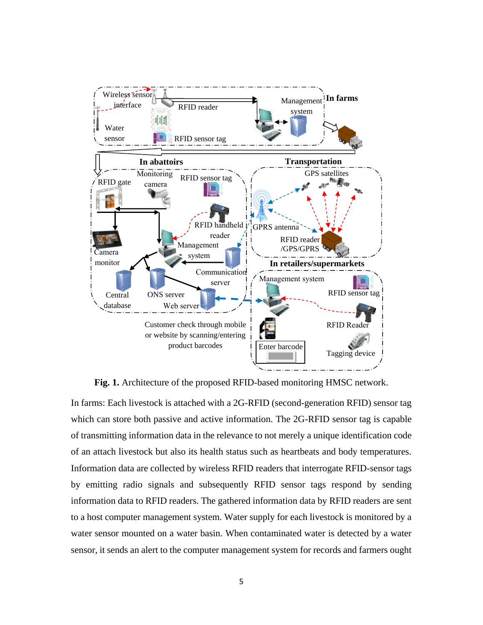

**Fig. 1.** Architecture of the proposed RFID-based monitoring HMSC network.

In farms: Each livestock is attached with a 2G-RFID (second-generation RFID) sensor tag which can store both passive and active information. The 2G-RFID sensor tag is capable of transmitting information data in the relevance to not merely a unique identification code of an attach livestock but also its health status such as heartbeats and body temperatures. Information data are collected by wireless RFID readers that interrogate RFID-sensor tags by emitting radio signals and subsequently RFID sensor tags respond by sending information data to RFID readers. The gathered information data by RFID readers are sent to a host computer management system. Water supply for each livestock is monitored by a water sensor mounted on a water basin. When contaminated water is detected by a water sensor, it sends an alert to the computer management system for records and farmers ought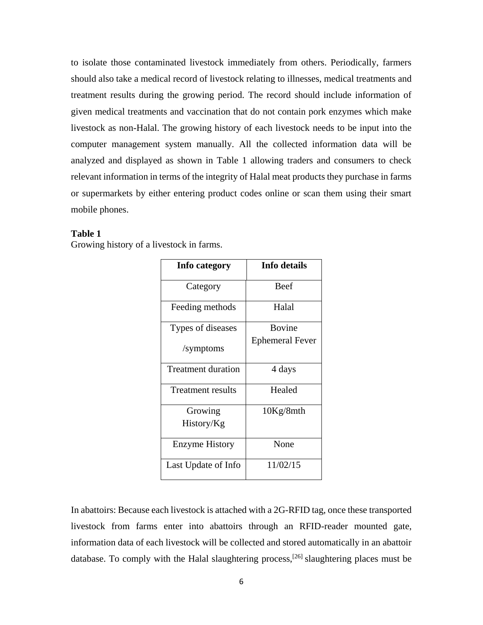to isolate those contaminated livestock immediately from others. Periodically, farmers should also take a medical record of livestock relating to illnesses, medical treatments and treatment results during the growing period. The record should include information of given medical treatments and vaccination that do not contain pork enzymes which make livestock as non-Halal. The growing history of each livestock needs to be input into the computer management system manually. All the collected information data will be analyzed and displayed as shown in Table 1 allowing traders and consumers to check relevant information in terms of the integrity of Halal meat products they purchase in farms or supermarkets by either entering product codes online or scan them using their smart mobile phones.

## **Table 1**

Growing history of a livestock in farms.

| Info category             | Info details           |
|---------------------------|------------------------|
| Category                  | <b>Beef</b>            |
| Feeding methods           | Halal                  |
| Types of diseases         | <b>Bovine</b>          |
| /symptoms                 | <b>Ephemeral Fever</b> |
| <b>Treatment duration</b> | 4 days                 |
| Treatment results         | Healed                 |
| Growing                   | 10Kg/8mth              |
| History/Kg                |                        |
| Enzyme History            | None                   |
| Last Update of Info       | 11/02/15               |

In abattoirs: Because each livestock is attached with a 2G-RFID tag, once these transported livestock from farms enter into abattoirs through an RFID-reader mounted gate, information data of each livestock will be collected and stored automatically in an abattoir database. To comply with the Halal slaughtering process,<sup>[26]</sup> slaughtering places must be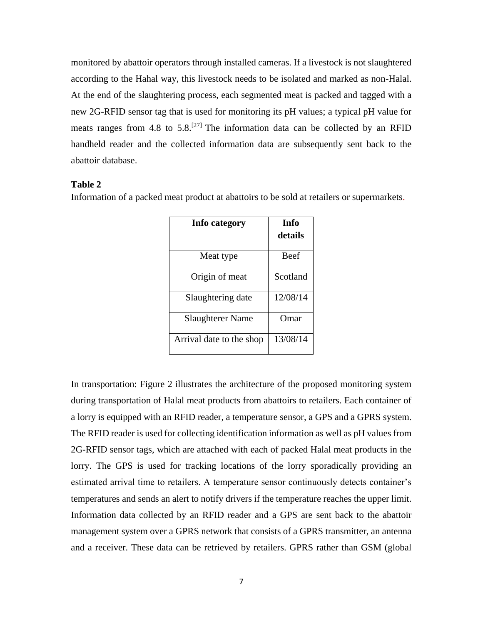monitored by abattoir operators through installed cameras. If a livestock is not slaughtered according to the Hahal way, this livestock needs to be isolated and marked as non-Halal. At the end of the slaughtering process, each segmented meat is packed and tagged with a new 2G-RFID sensor tag that is used for monitoring its pH values; a typical pH value for meats ranges from 4.8 to  $5.8$ <sup>[27]</sup> The information data can be collected by an RFID handheld reader and the collected information data are subsequently sent back to the abattoir database.

# **Table 2**

Information of a packed meat product at abattoirs to be sold at retailers or supermarkets.

| Info category            | Info<br>details |  |  |
|--------------------------|-----------------|--|--|
| Meat type                | <b>Beef</b>     |  |  |
| Origin of meat           | Scotland        |  |  |
| Slaughtering date        | 12/08/14        |  |  |
| <b>Slaughterer Name</b>  | Omar            |  |  |
| Arrival date to the shop | 13/08/14        |  |  |

In transportation: Figure 2 illustrates the architecture of the proposed monitoring system during transportation of Halal meat products from abattoirs to retailers. Each container of a lorry is equipped with an RFID reader, a temperature sensor, a GPS and a GPRS system. The RFID reader is used for collecting identification information as well as pH values from 2G-RFID sensor tags, which are attached with each of packed Halal meat products in the lorry. The GPS is used for tracking locations of the lorry sporadically providing an estimated arrival time to retailers. A temperature sensor continuously detects container's temperatures and sends an alert to notify drivers if the temperature reaches the upper limit. Information data collected by an RFID reader and a GPS are sent back to the abattoir management system over a GPRS network that consists of a GPRS transmitter, an antenna and a receiver. These data can be retrieved by retailers. GPRS rather than GSM (global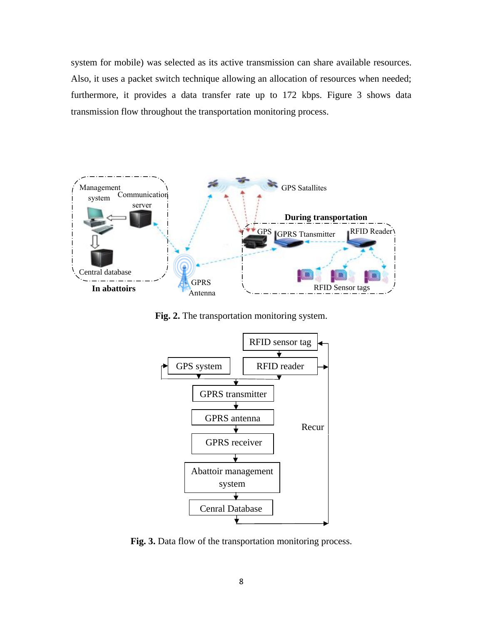system for mobile) was selected as its active transmission can share available resources. Also, it uses a packet switch technique allowing an allocation of resources when needed; furthermore, it provides a data transfer rate up to 172 kbps. Figure 3 shows data transmission flow throughout the transportation monitoring process.



**Fig. 2.** The transportation monitoring system.



**Fig. 3.** Data flow of the transportation monitoring process.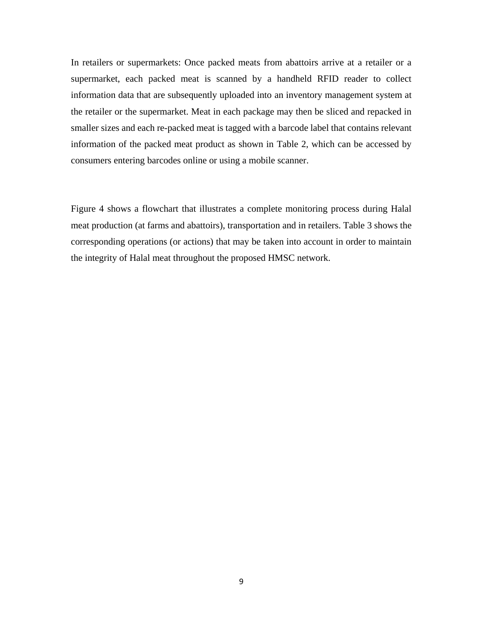In retailers or supermarkets: Once packed meats from abattoirs arrive at a retailer or a supermarket, each packed meat is scanned by a handheld RFID reader to collect information data that are subsequently uploaded into an inventory management system at the retailer or the supermarket. Meat in each package may then be sliced and repacked in smaller sizes and each re-packed meat is tagged with a barcode label that contains relevant information of the packed meat product as shown in Table 2, which can be accessed by consumers entering barcodes online or using a mobile scanner.

Figure 4 shows a flowchart that illustrates a complete monitoring process during Halal meat production (at farms and abattoirs), transportation and in retailers. Table 3 shows the corresponding operations (or actions) that may be taken into account in order to maintain the integrity of Halal meat throughout the proposed HMSC network.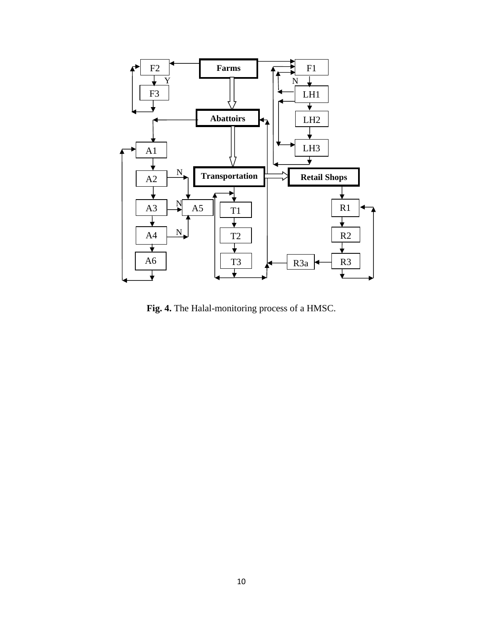

**Fig. 4.** The Halal-monitoring process of a HMSC.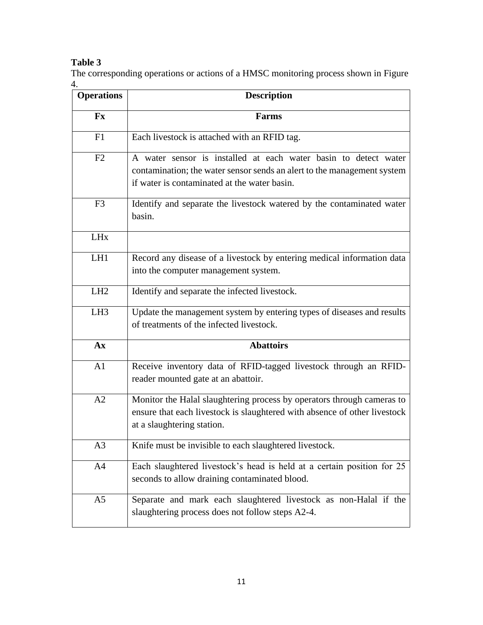# **Table 3**

The corresponding operations or actions of a HMSC monitoring process shown in Figure 4.

| <b>Operations</b>       | <b>Description</b>                                                                                                                                                                         |  |  |  |  |
|-------------------------|--------------------------------------------------------------------------------------------------------------------------------------------------------------------------------------------|--|--|--|--|
| $\mathbf{F} \mathbf{x}$ | <b>Farms</b>                                                                                                                                                                               |  |  |  |  |
| F1                      | Each livestock is attached with an RFID tag.                                                                                                                                               |  |  |  |  |
| F2                      | A water sensor is installed at each water basin to detect water<br>contamination; the water sensor sends an alert to the management system<br>if water is contaminated at the water basin. |  |  |  |  |
| F <sub>3</sub>          | Identify and separate the livestock watered by the contaminated water<br>basin.                                                                                                            |  |  |  |  |
| <b>LH<sub>x</sub></b>   |                                                                                                                                                                                            |  |  |  |  |
| LH1                     | Record any disease of a livestock by entering medical information data<br>into the computer management system.                                                                             |  |  |  |  |
| LH2                     | Identify and separate the infected livestock.                                                                                                                                              |  |  |  |  |
| LH <sub>3</sub>         | Update the management system by entering types of diseases and results<br>of treatments of the infected livestock.                                                                         |  |  |  |  |
| A x                     | <b>Abattoirs</b>                                                                                                                                                                           |  |  |  |  |
| A1                      | Receive inventory data of RFID-tagged livestock through an RFID-<br>reader mounted gate at an abattoir.                                                                                    |  |  |  |  |
| A2                      | Monitor the Halal slaughtering process by operators through cameras to<br>ensure that each livestock is slaughtered with absence of other livestock<br>at a slaughtering station.          |  |  |  |  |
| A3                      | Knife must be invisible to each slaughtered livestock.                                                                                                                                     |  |  |  |  |
| A4                      | Each slaughtered livestock's head is held at a certain position for 25<br>seconds to allow draining contaminated blood.                                                                    |  |  |  |  |
| A <sub>5</sub>          | Separate and mark each slaughtered livestock as non-Halal if the<br>slaughtering process does not follow steps A2-4.                                                                       |  |  |  |  |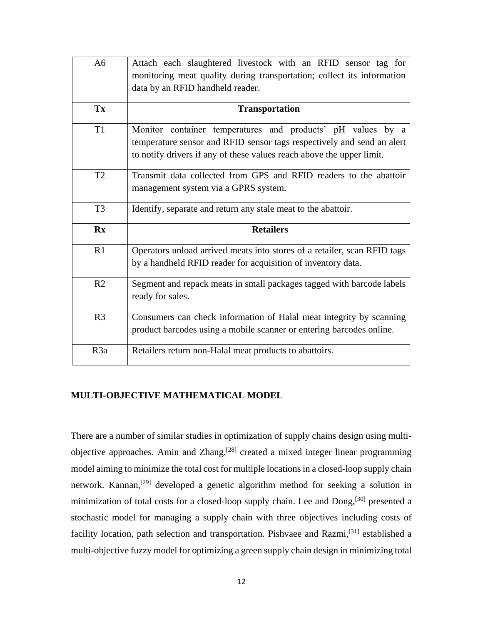| A6                    | Attach each slaughtered livestock with an RFID sensor tag for<br>monitoring meat quality during transportation; collect its information<br>data by an RFID handheld reader.                                    |
|-----------------------|----------------------------------------------------------------------------------------------------------------------------------------------------------------------------------------------------------------|
| Tx                    | <b>Transportation</b>                                                                                                                                                                                          |
| T <sub>1</sub>        | Monitor container temperatures and products' pH values by a<br>temperature sensor and RFID sensor tags respectively and send an alert<br>to notify drivers if any of these values reach above the upper limit. |
| T2                    | Transmit data collected from GPS and RFID readers to the abattoir<br>management system via a GPRS system.                                                                                                      |
| T <sub>3</sub>        | Identify, separate and return any stale meat to the abattoir.                                                                                                                                                  |
|                       |                                                                                                                                                                                                                |
| $\mathbf{R}$ <b>x</b> | <b>Retailers</b>                                                                                                                                                                                               |
| R1                    | Operators unload arrived meats into stores of a retailer, scan RFID tags<br>by a handheld RFID reader for acquisition of inventory data.                                                                       |
| R <sub>2</sub>        | Segment and repack meats in small packages tagged with barcode labels<br>ready for sales.                                                                                                                      |
| R <sub>3</sub>        | Consumers can check information of Halal meat integrity by scanning<br>product barcodes using a mobile scanner or entering barcodes online.                                                                    |

# **MULTI-OBJECTIVE MATHEMATICAL MODEL**

There are a number of similar studies in optimization of supply chains design using multiobjective approaches. Amin and Zhang,<sup>[28]</sup> created a mixed integer linear programming model aiming to minimize the total cost for multiple locations in a closed-loop supply chain network. Kannan,<sup>[29]</sup> developed a genetic algorithm method for seeking a solution in minimization of total costs for a closed-loop supply chain. Lee and Dong,<sup>[30]</sup> presented a stochastic model for managing a supply chain with three objectives including costs of facility location, path selection and transportation. Pishvaee and Razmi,<sup>[31]</sup> established a multi-objective fuzzy model for optimizing a green supply chain design in minimizing total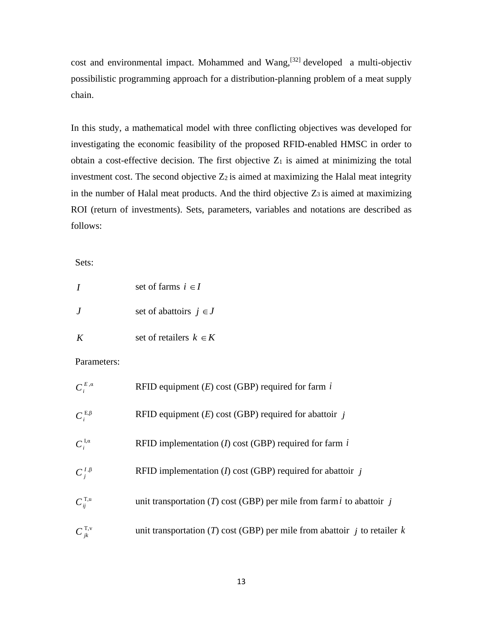cost and environmental impact. Mohammed and Wang, $[32]$  developed a multi-objectiv possibilistic programming approach for a distribution-planning problem of a meat supply chain.

In this study, a mathematical model with three conflicting objectives was developed for investigating the economic feasibility of the proposed RFID-enabled HMSC in order to obtain a cost-effective decision. The first objective  $Z_1$  is aimed at minimizing the total investment cost. The second objective  $Z_2$  is aimed at maximizing the Halal meat integrity in the number of Halal meat products. And the third objective  $Z_3$  is aimed at maximizing ROI (return of investments). Sets, parameters, variables and notations are described as follows:

Sets:

|         | set of farms $i \in I$     |  |  |
|---------|----------------------------|--|--|
| $\cdot$ | set of abattoirs $j \in J$ |  |  |
|         | set of retailers $k \in K$ |  |  |

# Parameters:

| $C_i^{E,\alpha}$             | RFID equipment $(E)$ cost (GBP) required for farm $i$                         |
|------------------------------|-------------------------------------------------------------------------------|
| $C_i^{E,\beta}$              | RFID equipment $(E)$ cost (GBP) required for abattoir j                       |
| $C_i^{I,\alpha}$             | RFID implementation $(I)$ cost (GBP) required for farm $i$                    |
| $C_i^{I,\beta}$              | RFID implementation (I) cost (GBP) required for abattoir $\dot{j}$            |
| $C_{ii}^{\text{T},\text{u}}$ | unit transportation (T) cost (GBP) per mile from farm i to abattoir j         |
| $C_{jk}^{\text{T,v}}$        | unit transportation (T) cost (GBP) per mile from abattoir $j$ to retailer $k$ |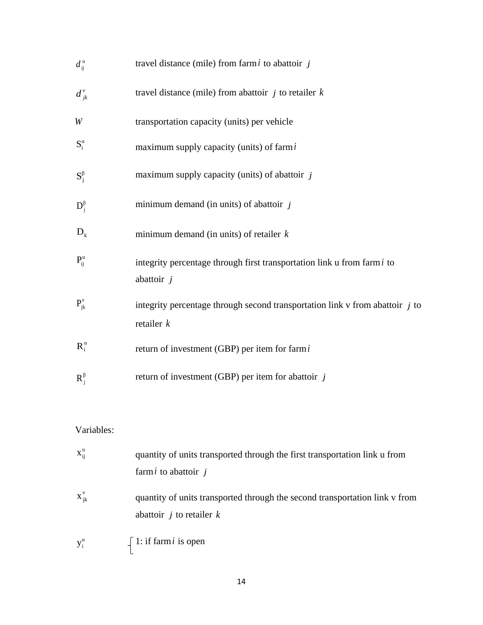| $d_{ii}^{\mathrm{u}}$ | travel distance (mile) from farm $i$ to abattoir $j$                                                        |
|-----------------------|-------------------------------------------------------------------------------------------------------------|
| $d_{jk}^{\nu}$        | travel distance (mile) from abattoir $j$ to retailer $k$                                                    |
| W                     | transportation capacity (units) per vehicle                                                                 |
| $S_i^{\alpha}$        | maximum supply capacity (units) of farm $i$                                                                 |
| $S_i^{\beta}$         | maximum supply capacity (units) of abattoir $j$                                                             |
| $D_i^{\beta}$         | minimum demand (in units) of abattoir $j$                                                                   |
| $D_k$                 | minimum demand (in units) of retailer $k$                                                                   |
| $P_{ii}^{\mathrm{u}}$ | integrity percentage through first transportation link u from farmi to<br>abattoir $j$                      |
| $P_{jk}^{\nu}$        | integrity percentage through second transportation link $v$ from abattoir $j$ to<br>retailer $k$            |
| $R_i^{\alpha}$        | return of investment (GBP) per item for farmi                                                               |
| $R_i^{\beta}$         | return of investment (GBP) per item for abattoir $j$                                                        |
| Variables:            |                                                                                                             |
|                       |                                                                                                             |
| $X_{ij}^{\mathrm{u}}$ | quantity of units transported through the first transportation link u from<br>farmi to abattoir $j$         |
| $X_{jk}^V$            | quantity of units transported through the second transportation link v from<br>abattoir $j$ to retailer $k$ |
| $y_i^{\alpha}$        | 1: if farm $i$ is open                                                                                      |
|                       | 14                                                                                                          |

# Variables:

| $X_{ii}^{\mathrm{u}}$ | quantity of units transported through the first transportation link u from                                       |
|-----------------------|------------------------------------------------------------------------------------------------------------------|
|                       | farm <i>i</i> to abattoir $i$                                                                                    |
| $X_{ik}^V$            | quantity of units transported through the second transportation link v from<br>abattoir <i>j</i> to retailer $k$ |
| $y_i^{\alpha}$        | $\int$ 1: if farm <i>i</i> is open                                                                               |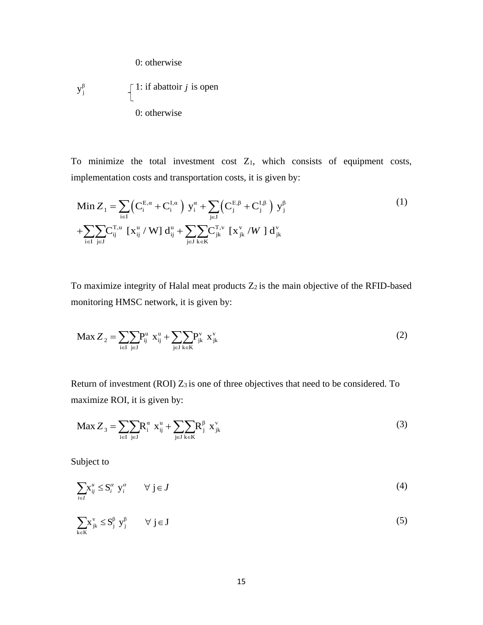0: otherwise

$$
y_j^{\beta}
$$
  $\left\{\n \begin{array}{l}\n 1: \text{if abattoir } j \text{ is open} \\
 0: \text{otherwise}\n \end{array}\n\right.$ 

To minimize the total investment cost Z1, which consists of equipment costs, implementation costs and transportation costs, it is given by:

Min 
$$
Z_1 = \sum_{i\in I} (C_i^{E,\alpha} + C_i^{I,\alpha}) y_i^{\alpha} + \sum_{j\in J} (C_j^{E,\beta} + C_j^{I,\beta}) y_j^{\beta}
$$
  
+
$$
\sum_{i\in I} \sum_{j\in J} C_{ij}^{T,u} [x_{ij}^u / W] d_{ij}^u + \sum_{j\in J} \sum_{k\in K} C_{jk}^{T,v} [x_{jk}^v / W] d_{jk}^v
$$
 (1)

To maximize integrity of Halal meat products  $Z_2$  is the main objective of the RFID-based monitoring HMSC network, it is given by:

$$
\text{Max } Z_2 = \sum_{i \in I} \sum_{j \in J} P_{ij}^u \ x_{ij}^u + \sum_{j \in J} \sum_{k \in K} P_{jk}^v \ x_{jk}^v \tag{2}
$$

Return of investment (ROI) Z<sub>3</sub> is one of three objectives that need to be considered. To maximize ROI, it is given by:

$$
\text{Max } Z_3 = \sum_{i \in I} \sum_{j \in J} R_i^a x_{ij}^u + \sum_{j \in J} \sum_{k \in K} R_j^{\beta} x_{jk}^v \tag{3}
$$

Subject to

$$
\sum_{i \in I} x_{ij}^u \le S_i^{\alpha} y_i^{\alpha} \qquad \forall \ j \in J
$$
 (4)

$$
\sum_{k \in K} x_{jk}^{\nu} \le S_j^{\beta} y_j^{\beta} \qquad \forall j \in J
$$
 (5)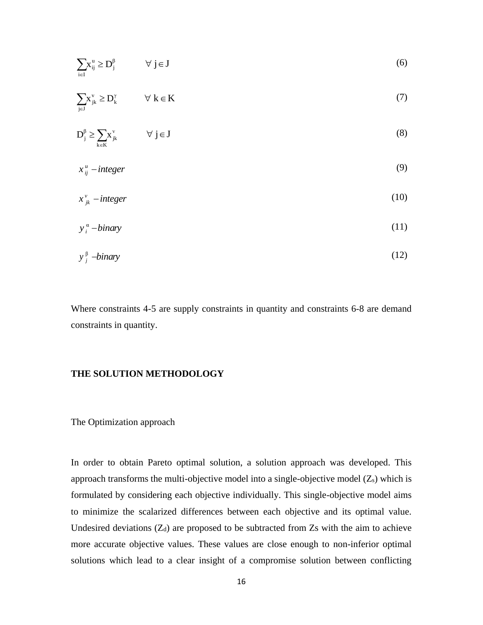| $\sum_{i\in I} x_{ij}^u \ge D_j^\beta$ $\forall j \in J$         |                                 |    | (6)                                                                                                                                                                                                                                                                                                                                                                                                                                                                                                                                                                                                                                |
|------------------------------------------------------------------|---------------------------------|----|------------------------------------------------------------------------------------------------------------------------------------------------------------------------------------------------------------------------------------------------------------------------------------------------------------------------------------------------------------------------------------------------------------------------------------------------------------------------------------------------------------------------------------------------------------------------------------------------------------------------------------|
| $\sum_{i\in J} x_{jk}^v \ge D_k^\gamma$                          | $\forall\ k\in K$               |    | (7)                                                                                                                                                                                                                                                                                                                                                                                                                                                                                                                                                                                                                                |
| $D_j^{\beta} \ge \sum_{k \in K} x_{jk}^v \qquad \forall j \in J$ |                                 |    | (8)                                                                                                                                                                                                                                                                                                                                                                                                                                                                                                                                                                                                                                |
| $x_{ij}^u$ – integer                                             |                                 |    | (9)                                                                                                                                                                                                                                                                                                                                                                                                                                                                                                                                                                                                                                |
| $x_{ik}^{\nu}$ – integer                                         |                                 |    | (10)                                                                                                                                                                                                                                                                                                                                                                                                                                                                                                                                                                                                                               |
| $y_i^{\alpha}$ – binary                                          |                                 |    | (11)                                                                                                                                                                                                                                                                                                                                                                                                                                                                                                                                                                                                                               |
| $y_i^{\beta}$ -binary                                            |                                 |    | (12)                                                                                                                                                                                                                                                                                                                                                                                                                                                                                                                                                                                                                               |
| onstraints in quantity.                                          |                                 |    | Vhere constraints 4-5 are supply constraints in quantity and constraints 6-8 are demand                                                                                                                                                                                                                                                                                                                                                                                                                                                                                                                                            |
|                                                                  | <b>THE SOLUTION METHODOLOGY</b> |    |                                                                                                                                                                                                                                                                                                                                                                                                                                                                                                                                                                                                                                    |
| The Optimization approach                                        |                                 |    |                                                                                                                                                                                                                                                                                                                                                                                                                                                                                                                                                                                                                                    |
|                                                                  |                                 |    | n order to obtain Pareto optimal solution, a solution approach was developed. Thi<br>pproach transforms the multi-objective model into a single-objective model $(Z_s)$ which i<br>ormulated by considering each objective individually. This single-objective model aim<br>the scalarized differences between each objective and its optimal value<br>Indesired deviations $(Z_d)$ are proposed to be subtracted from $Z_s$ with the aim to achiev<br>nore accurate objective values. These values are close enough to non-inferior optima<br>olutions which lead to a clear insight of a compromise solution between conflicting |
|                                                                  |                                 | 16 |                                                                                                                                                                                                                                                                                                                                                                                                                                                                                                                                                                                                                                    |

## **THE SOLUTION METHODOLOGY**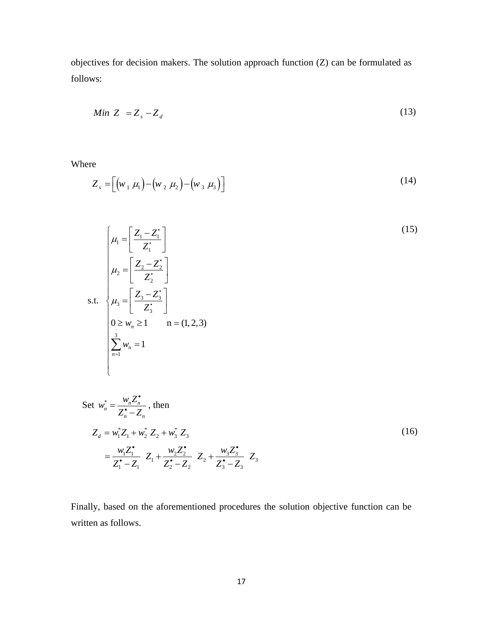objectives for decision makers. The solution approach function (Z) can be formulated as follows:

$$
Min Z = Z_s - Z_d \tag{13}
$$

Where

$$
Z_s = \left[ \left( w_1 \mu_1 \right) - \left( w_2 \mu_2 \right) - \left( w_3 \mu_3 \right) \right] \tag{14}
$$

$$
\mu_1 = \left[\frac{Z_1 - Z_1'}{Z_1'}\right]
$$
\n
$$
\mu_2 = \left[\frac{Z_2 - Z_2'}{Z_2'}\right]
$$
\n
$$
\mu_3 = \left[\frac{Z_3 - Z_3'}{Z_3'}\right]
$$
\n
$$
0 \ge w_n \ge 1 \qquad n = (1, 2, 3)
$$
\n
$$
\sum_{n=1}^3 w_n = 1
$$
\n(15)

Set 
$$
w_n^* = \frac{w_n Z_n^{\bullet}}{Z_n^{\bullet} - Z_n}
$$
, then  
\n
$$
Z_d = w_1^* Z_1 + w_2^* Z_2 + w_3^* Z_3
$$
\n
$$
= \frac{w_1 Z_1^{\bullet}}{Z_1^{\bullet} - Z_1} Z_1 + \frac{w_2 Z_2^{\bullet}}{Z_2^{\bullet} - Z_2} Z_2 + \frac{w_3 Z_3^{\bullet}}{Z_3^{\bullet} - Z_3} Z_3
$$
\n(16)

Finally, based on the aforementioned procedures the solution objective function can be written as follows.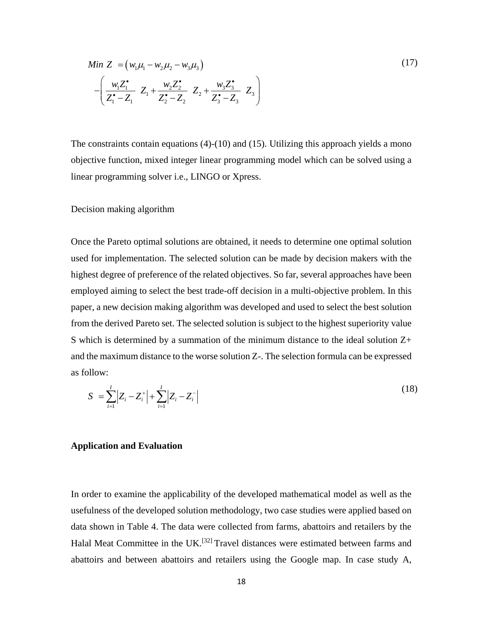Min 
$$
Z = (w_1\mu_1 - w_2\mu_2 - w_3\mu_3)
$$
  
\n
$$
-\left(\frac{w_1Z_1^*}{Z_1^*-Z_1}Z_1 + \frac{w_2Z_2^*}{Z_2^*-Z_2}Z_2 + \frac{w_3Z_3^*}{Z_3^*-Z_3}Z_3\right)
$$
\n(17)

The constraints contain equations (4)-(10) and (15). Utilizing this approach yields a mono objective function, mixed integer linear programming model which can be solved using a linear programming solver i.e., LINGO or Xpress.

#### Decision making algorithm

 $(w_i\mu_1 - w_2\mu_2 - w_3\mu_3)$ <br>  $\frac{1}{Z_1}$   $Z_1 + \frac{w_2Z_2}{Z_2 - Z_2}$   $Z_2 + \frac{w_3Z_3}{Z_3 - Z_3}$ <br>
s contain equations (4)-(10) and<br>
tion, mixed integer linear programing solver i.e., LINGO or Xpn<br>
ng algorithm<br>
to optimal solutio Once the Pareto optimal solutions are obtained, it needs to determine one optimal solution used for implementation. The selected solution can be made by decision makers with the highest degree of preference of the related objectives. So far, several approaches have been employed aiming to select the best trade-off decision in a multi-objective problem. In this paper, a new decision making algorithm was developed and used to select the best solution from the derived Pareto set. The selected solution is subject to the highest superiority value S which is determined by a summation of the minimum distance to the ideal solution Z+ and the maximum distance to the worse solution Z-. The selection formula can be expressed as follow:

$$
S = \sum_{i=1}^{I} |Z_i - Z_i^+| + \sum_{i=1}^{I} |Z_i - Z_i^-|
$$
\n(18)

#### **Application and Evaluation**

In order to examine the applicability of the developed mathematical model as well as the usefulness of the developed solution methodology, two case studies were applied based on data shown in Table 4. The data were collected from farms, abattoirs and retailers by the Halal Meat Committee in the UK.[32] Travel distances were estimated between farms and abattoirs and between abattoirs and retailers using the Google map. In case study A,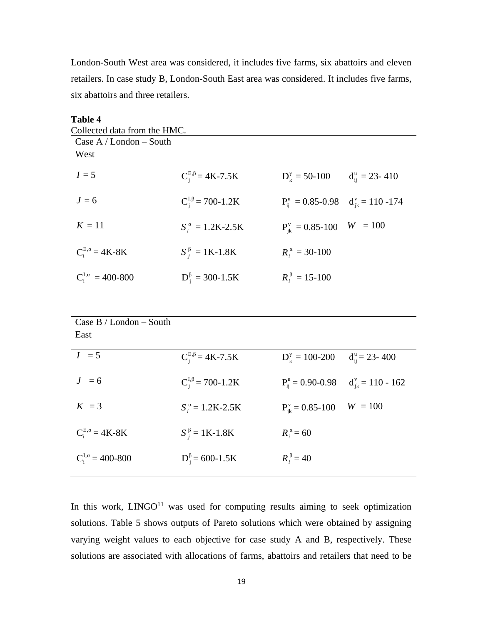London-South West area was considered, it includes five farms, six abattoirs and eleven retailers. In case study B, London-South East area was considered. It includes five farms, six abattoirs and three retailers.

| <b>Table 4</b>               |                              |                                                     |                       |
|------------------------------|------------------------------|-----------------------------------------------------|-----------------------|
| Collected data from the HMC. |                              |                                                     |                       |
| Case $A /$ London – South    |                              |                                                     |                       |
| West                         |                              |                                                     |                       |
|                              |                              |                                                     |                       |
| $I=5$                        | $C_i^{E,\beta} = 4K-7.5K$    | $D_{\nu}^{\gamma} = 50 - 100$                       | $d_{ii}^u = 23 - 410$ |
| $J=6$                        | $C_i^{I,\beta} = 700-1.2K$   |                                                     |                       |
|                              |                              | $P_{ii}^{u} = 0.85 - 0.98$ $d_{ik}^{v} = 110 - 174$ |                       |
| $K=11$                       | $S_i^{\alpha} = 1.2K - 2.5K$ | $P_{ik}^{v} = 0.85 - 100$                           | $W = 100$             |
|                              |                              |                                                     |                       |
| $C_i^{E,\alpha} = 4K-8K$     | $S_i^{\beta} = 1K-1.8K$      | $R_i^{\alpha} = 30 - 100$                           |                       |
|                              |                              |                                                     |                       |
| $C_i^{I,\alpha} = 400-800$   | $D_i^{\beta} = 300 - 1.5K$   | $R_i^{\beta} = 15 - 100$                            |                       |
|                              |                              |                                                     |                       |

| Case $B /$ London – South<br>East |                              |                              |                        |
|-----------------------------------|------------------------------|------------------------------|------------------------|
| $I = 5$                           | $C_i^{E,\beta} = 4K-7.5K$    | $D_{k}^{\gamma} = 100 - 200$ | $d_{ii}^u = 23 - 400$  |
| $J = 6$                           | $C_i^{I,\beta} = 700-1.2K$   | $P_{ii}^{u} = 0.90 - 0.98$   | $d_{ik}^v = 110 - 162$ |
| $K = 3$                           | $S_i^{\alpha} = 1.2K - 2.5K$ | $P_{ik}^v = 0.85 - 100$      | $W = 100$              |
| $C_i^{E,\alpha} = 4K-8K$          | $S_i^{\beta} = 1K-1.8K$      | $R_i^{\alpha} = 60$          |                        |
| $C_i^{I,\alpha} = 400-800$        | $D_i^{\beta} = 600 - 1.5K$   | $R_i^{\beta} = 40$           |                        |

In this work,  $LINGO<sup>11</sup>$  was used for computing results aiming to seek optimization solutions. Table 5 shows outputs of Pareto solutions which were obtained by assigning varying weight values to each objective for case study A and B, respectively. These solutions are associated with allocations of farms, abattoirs and retailers that need to be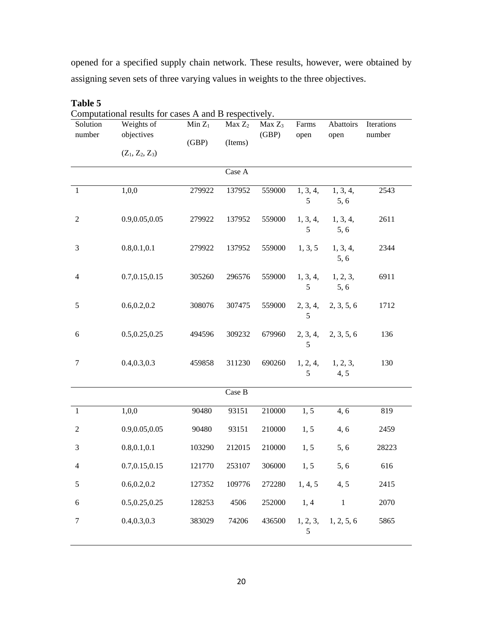opened for a specified supply chain network. These results, however, were obtained by assigning seven sets of three varying values in weights to the three objectives.

|                    | Computational results for cases A and B respectively. |                    |                               |                    |               |                   |                      |
|--------------------|-------------------------------------------------------|--------------------|-------------------------------|--------------------|---------------|-------------------|----------------------|
| Solution<br>number | Weights of<br>objectives                              | $Min Z_1$<br>(GBP) | Max Z <sub>2</sub><br>(Items) | $Max Z_3$<br>(GBP) | Farms<br>open | Abattoirs<br>open | Iterations<br>number |
|                    | $(Z_1, Z_2, Z_3)$                                     |                    |                               |                    |               |                   |                      |
|                    |                                                       |                    | Case A                        |                    |               |                   |                      |
| 1                  | 1,0,0                                                 | 279922             | 137952                        | 559000             | 1, 3, 4,<br>5 | 1, 3, 4,<br>5,6   | 2543                 |
| $\sqrt{2}$         | 0.9,0.05,0.05                                         | 279922             | 137952                        | 559000             | 1, 3, 4,<br>5 | 1, 3, 4,<br>5, 6  | 2611                 |
| 3                  | 0.8, 0.1, 0.1                                         | 279922             | 137952                        | 559000             | 1, 3, 5       | 1, 3, 4,<br>5, 6  | 2344                 |
| $\overline{4}$     | 0.7,0.15,0.15                                         | 305260             | 296576                        | 559000             | 1, 3, 4,<br>5 | 1, 2, 3,<br>5, 6  | 6911                 |
| $\sqrt{5}$         | 0.6, 0.2, 0.2                                         | 308076             | 307475                        | 559000             | 2, 3, 4,<br>5 | 2, 3, 5, 6        | 1712                 |
| 6                  | 0.5, 0.25, 0.25                                       | 494596             | 309232                        | 679960             | 2, 3, 4,<br>5 | 2, 3, 5, 6        | 136                  |
| $\tau$             | 0.4, 0.3, 0.3                                         | 459858             | 311230                        | 690260             | 1, 2, 4,<br>5 | 1, 2, 3,<br>4, 5  | 130                  |
|                    |                                                       |                    | Case B                        |                    |               |                   |                      |
| $\mathbf{1}$       | 1,0,0                                                 | 90480              | 93151                         | 210000             | 1, 5          | 4, 6              | 819                  |
| $\overline{c}$     | 0.9,0.05,0.05                                         | 90480              | 93151                         | 210000             | 1, 5          | 4, 6              | 2459                 |
| 3                  | 0.8, 0.1, 0.1                                         | 103290             | 212015                        | 210000             | 1, 5          | 5, 6              | 28223                |
| $\overline{4}$     | 0.7,0.15,0.15                                         | 121770             | 253107                        | 306000             | 1, 5          | 5,6               | 616                  |
| $\sqrt{5}$         | 0.6, 0.2, 0.2                                         | 127352             | 109776                        | 272280             | 1, 4, 5       | 4, 5              | 2415                 |
| $6\,$              | 0.5,0.25,0.25                                         | 128253             | 4506                          | 252000             | 1, 4          | $\mathbf{1}$      | 2070                 |
| $\tau$             | 0.4, 0.3, 0.3                                         | 383029             | 74206                         | 436500             | 1, 2, 3,<br>5 | 1, 2, 5, 6        | 5865                 |

**Table 5**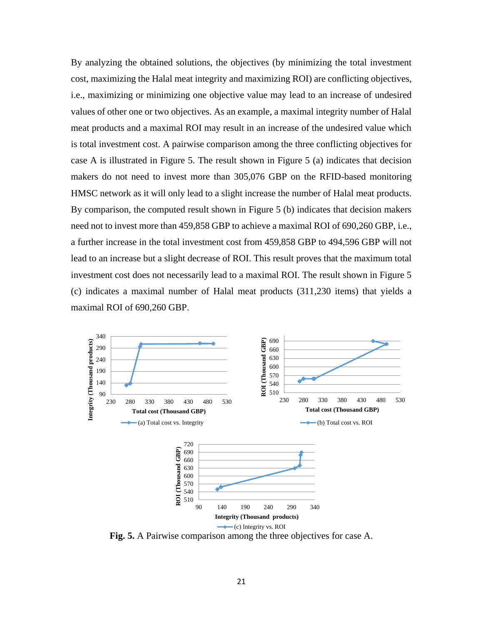By analyzing the obtained solutions, the objectives (by minimizing the total investment cost, maximizing the Halal meat integrity and maximizing ROI) are conflicting objectives, i.e., maximizing or minimizing one objective value may lead to an increase of undesired values of other one or two objectives. As an example, a maximal integrity number of Halal meat products and a maximal ROI may result in an increase of the undesired value which is total investment cost. A pairwise comparison among the three conflicting objectives for case A is illustrated in Figure 5. The result shown in Figure 5 (a) indicates that decision makers do not need to invest more than 305,076 GBP on the RFID-based monitoring HMSC network as it will only lead to a slight increase the number of Halal meat products. By comparison, the computed result shown in Figure 5 (b) indicates that decision makers need not to invest more than 459,858 GBP to achieve a maximal ROI of 690,260 GBP, i.e., a further increase in the total investment cost from 459,858 GBP to 494,596 GBP will not lead to an increase but a slight decrease of ROI. This result proves that the maximum total investment cost does not necessarily lead to a maximal ROI. The result shown in Figure 5 (c) indicates a maximal number of Halal meat products (311,230 items) that yields a maximal ROI of 690,260 GBP.



**Fig. 5.** A Pairwise comparison among the three objectives for case A.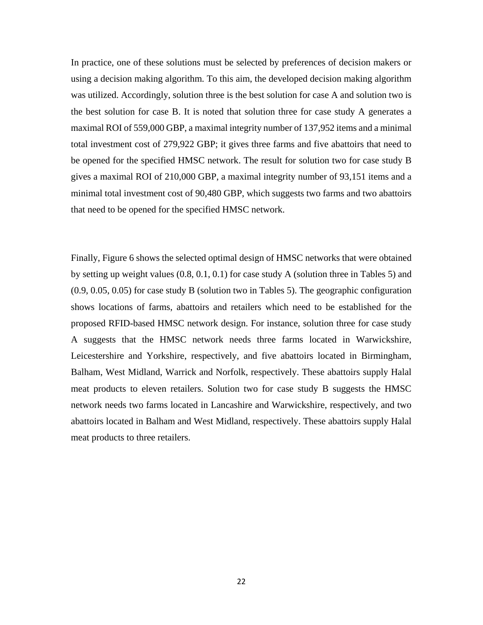In practice, one of these solutions must be selected by preferences of decision makers or using a decision making algorithm. To this aim, the developed decision making algorithm was utilized. Accordingly, solution three is the best solution for case A and solution two is the best solution for case B. It is noted that solution three for case study A generates a maximal ROI of 559,000 GBP, a maximal integrity number of 137,952 items and a minimal total investment cost of 279,922 GBP; it gives three farms and five abattoirs that need to be opened for the specified HMSC network. The result for solution two for case study B gives a maximal ROI of 210,000 GBP, a maximal integrity number of 93,151 items and a minimal total investment cost of 90,480 GBP, which suggests two farms and two abattoirs that need to be opened for the specified HMSC network.

Finally, Figure 6 shows the selected optimal design of HMSC networks that were obtained by setting up weight values (0.8, 0.1, 0.1) for case study A (solution three in Tables 5) and (0.9, 0.05, 0.05) for case study B (solution two in Tables 5). The geographic configuration shows locations of farms, abattoirs and retailers which need to be established for the proposed RFID-based HMSC network design. For instance, solution three for case study A suggests that the HMSC network needs three farms located in Warwickshire, Leicestershire and Yorkshire, respectively, and five abattoirs located in Birmingham, Balham, West Midland, Warrick and Norfolk, respectively. These abattoirs supply Halal meat products to eleven retailers. Solution two for case study B suggests the HMSC network needs two farms located in Lancashire and Warwickshire, respectively, and two abattoirs located in Balham and West Midland, respectively. These abattoirs supply Halal meat products to three retailers.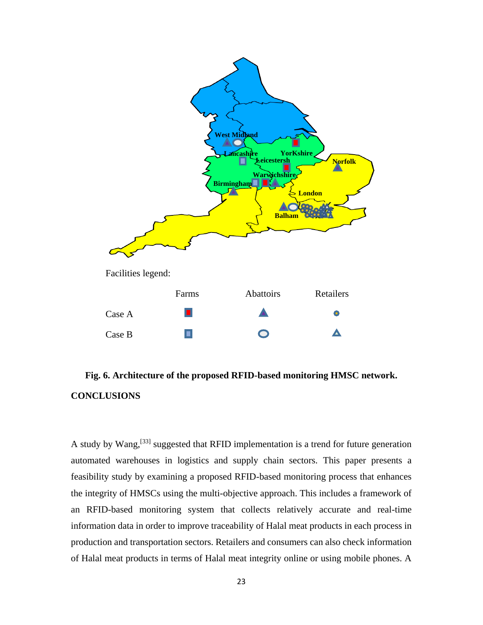

# **Fig. 6. Architecture of the proposed RFID-based monitoring HMSC network. CONCLUSIONS**

A study by Wang,<sup>[33]</sup> suggested that RFID implementation is a trend for future generation automated warehouses in logistics and supply chain sectors. This paper presents a feasibility study by examining a proposed RFID-based monitoring process that enhances the integrity of HMSCs using the multi-objective approach. This includes a framework of an RFID-based monitoring system that collects relatively accurate and real-time information data in order to improve traceability of Halal meat products in each process in production and transportation sectors. Retailers and consumers can also check information of Halal meat products in terms of Halal meat integrity online or using mobile phones. A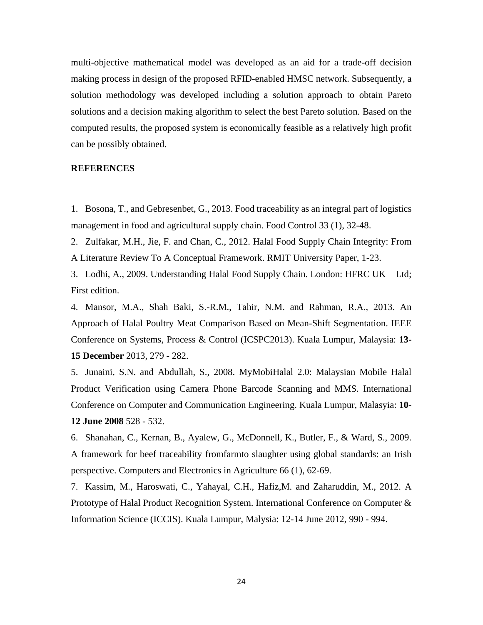multi-objective mathematical model was developed as an aid for a trade-off decision making process in design of the proposed RFID-enabled HMSC network. Subsequently, a solution methodology was developed including a solution approach to obtain Pareto solutions and a decision making algorithm to select the best Pareto solution. Based on the computed results, the proposed system is economically feasible as a relatively high profit can be possibly obtained.

## **REFERENCES**

1. Bosona, T., and Gebresenbet, G., 2013. Food traceability as an integral part of logistics management in food and agricultural supply chain. Food Control 33 (1), 32-48.

2. Zulfakar, M.H., Jie, F. and Chan, C., 2012. Halal Food Supply Chain Integrity: From A Literature Review To A Conceptual Framework. RMIT University Paper, 1-23.

3. Lodhi, A., 2009. Understanding Halal Food Supply Chain. London: HFRC UK Ltd; First edition.

4. Mansor, M.A., Shah Baki, S.-R.M., Tahir, N.M. and Rahman, R.A., 2013. An Approach of Halal Poultry Meat Comparison Based on Mean-Shift Segmentation. IEEE Conference on Systems, Process & Control (ICSPC2013). Kuala Lumpur, Malaysia: **13- 15 December** 2013, 279 - 282.

5. Junaini, S.N. and Abdullah, S., 2008. MyMobiHalal 2.0: Malaysian Mobile Halal Product Verification using Camera Phone Barcode Scanning and MMS. International Conference on Computer and Communication Engineering. Kuala Lumpur, Malasyia: **10- 12 June 2008** 528 - 532.

6. Shanahan, C., Kernan, B., Ayalew, G., McDonnell, K., Butler, F., & Ward, S., 2009. A framework for beef traceability fromfarmto slaughter using global standards: an Irish perspective. Computers and Electronics in Agriculture 66 (1), 62-69.

7. Kassim, M., Haroswati, C., Yahayal, C.H., Hafiz,M. and Zaharuddin, M., 2012. A Prototype of Halal Product Recognition System. International Conference on Computer & Information Science (ICCIS). Kuala Lumpur, Malysia: 12-14 June 2012, 990 - 994.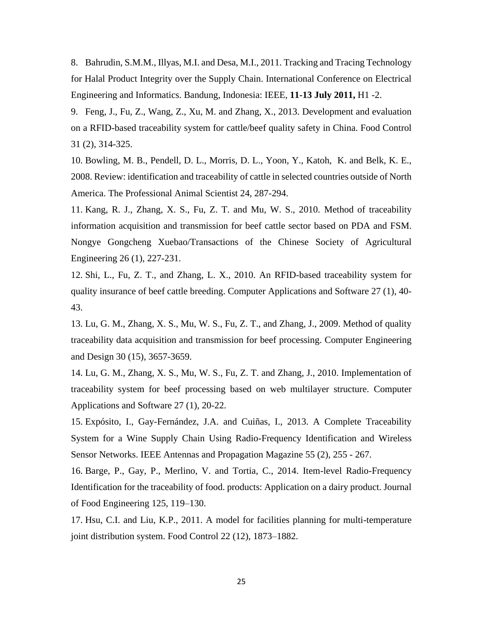8. Bahrudin, S.M.M., Illyas, M.I. and Desa, M.I., 2011. Tracking and Tracing Technology for Halal Product Integrity over the Supply Chain. International Conference on Electrical Engineering and Informatics. Bandung, Indonesia: IEEE, **11-13 July 2011,** H1 -2.

9. Feng, J., Fu, Z., Wang, Z., Xu, M. and Zhang, X., 2013. Development and evaluation on a RFID-based traceability system for cattle/beef quality safety in China. Food Control 31 (2), 314-325.

10. Bowling, M. B., Pendell, D. L., Morris, D. L., Yoon, Y., Katoh, K. and Belk, K. E., 2008. Review: identification and traceability of cattle in selected countries outside of North America. The Professional Animal Scientist 24, 287-294.

11. Kang, R. J., Zhang, X. S., Fu, Z. T. and Mu, W. S., 2010. Method of traceability information acquisition and transmission for beef cattle sector based on PDA and FSM. Nongye Gongcheng Xuebao/Transactions of the Chinese Society of Agricultural Engineering 26 (1), 227-231.

12. Shi, L., Fu, Z. T., and Zhang, L. X., 2010. An RFID-based traceability system for quality insurance of beef cattle breeding. Computer Applications and Software 27 (1), 40- 43.

13. Lu, G. M., Zhang, X. S., Mu, W. S., Fu, Z. T., and Zhang, J., 2009. Method of quality traceability data acquisition and transmission for beef processing. Computer Engineering and Design 30 (15), 3657-3659.

14. Lu, G. M., Zhang, X. S., Mu, W. S., Fu, Z. T. and Zhang, J., 2010. Implementation of traceability system for beef processing based on web multilayer structure. Computer Applications and Software 27 (1), 20-22.

15. Expósito, I., Gay-Fernández, J.A. and Cuiñas, I., 2013. A Complete Traceability System for a Wine Supply Chain Using Radio-Frequency Identification and Wireless Sensor Networks. IEEE Antennas and Propagation Magazine 55 (2), 255 - 267.

16. Barge, P., Gay, P., Merlino, V. and Tortia, C., 2014. Item-level Radio-Frequency Identification for the traceability of food. products: Application on a dairy product. Journal of Food Engineering 125, 119–130.

17. Hsu, C.I. and Liu, K.P., 2011. A model for facilities planning for multi-temperature joint distribution system. Food Control 22 (12), 1873–1882.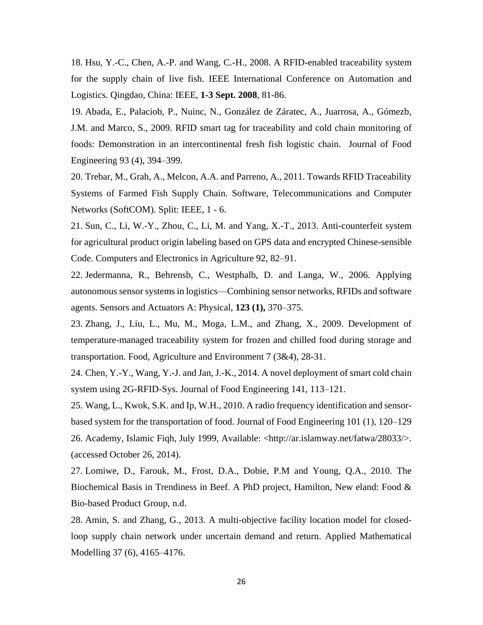18. Hsu, Y.-C., Chen, A.-P. and Wang, C.-H., 2008. A RFID-enabled traceability system for the supply chain of live fish. IEEE International Conference on Automation and Logistics. Qingdao, China: IEEE, **1-3 Sept. 2008**, 81-86.

19. Abada, E., Palaciob, P., Nuinc, N., González de Záratec, A., Juarrosa, A., Gómezb, J.M. and Marco, S., 2009. RFID smart tag for traceability and cold chain monitoring of foods: Demonstration in an intercontinental fresh fish logistic chain. Journal of Food Engineering 93 (4), 394–399.

20. Trebar, M., Grah, A., Melcon, A.A. and Parreno, A., 2011. Towards RFID Traceability Systems of Farmed Fish Supply Chain. Software, Telecommunications and Computer Networks (SoftCOM). Split: IEEE, 1 - 6.

21. Sun, C., Li, W.-Y., Zhou, C., Li, M. and Yang, X.-T., 2013. Anti-counterfeit system for agricultural product origin labeling based on GPS data and encrypted Chinese-sensible Code. Computers and Electronics in Agriculture 92, 82–91.

22. Jedermanna, R., Behrensb, C., Westphalb, D. and Langa, W., 2006. Applying autonomous sensor systems in logistics—Combining sensor networks, RFIDs and software agents. Sensors and Actuators A: Physical, **123 (1),** 370–375.

23. Zhang, J., Liu, L., Mu, M., Moga, L.M., and Zhang, X., 2009. Development of temperature-managed traceability system for frozen and chilled food during storage and transportation. Food, Agriculture and Environment 7 (3&4), 28-31.

24. Chen, Y.-Y., Wang, Y.-J. and Jan, J.-K., 2014. A novel deployment of smart cold chain system using 2G-RFID-Sys. Journal of Food Engineering 141, 113–121.

25. Wang, L., Kwok, S.K. and Ip, W.H., 2010. A radio frequency identification and sensorbased system for the transportation of food. Journal of Food Engineering 101 (1), 120–129 26. Academy, Islamic Fiqh, July 1999, Available: <http://ar.islamway.net/fatwa/28033/>. (accessed October 26, 2014).

27. Lomiwe, D., Farouk, M., Frost, D.A., Dobie, P.M and Young, Q.A., 2010. The Biochemical Basis in Trendiness in Beef. A PhD project, Hamilton, New eland: Food & Bio-based Product Group, n.d.

28. Amin, S. and Zhang, G., 2013. A multi-objective facility location model for closedloop supply chain network under uncertain demand and return. Applied Mathematical Modelling 37 (6), 4165–4176.